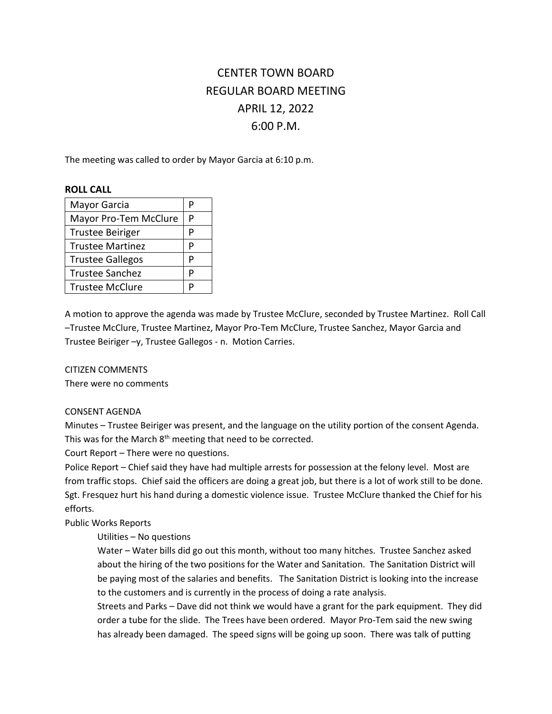# CENTER TOWN BOARD REGULAR BOARD MEETING APRIL 12, 2022 6:00 P.M.

The meeting was called to order by Mayor Garcia at 6:10 p.m.

# **ROLL CALL**

| Mayor Garcia            | P |
|-------------------------|---|
| Mayor Pro-Tem McClure   | P |
| <b>Trustee Beiriger</b> | P |
| <b>Trustee Martinez</b> | P |
| <b>Trustee Gallegos</b> | P |
| <b>Trustee Sanchez</b>  | P |
| <b>Trustee McClure</b>  | P |

A motion to approve the agenda was made by Trustee McClure, seconded by Trustee Martinez. Roll Call –Trustee McClure, Trustee Martinez, Mayor Pro-Tem McClure, Trustee Sanchez, Mayor Garcia and Trustee Beiriger –y, Trustee Gallegos - n. Motion Carries.

CITIZEN COMMENTS

There were no comments

# CONSENT AGENDA

Minutes – Trustee Beiriger was present, and the language on the utility portion of the consent Agenda. This was for the March  $8<sup>th</sup>$  meeting that need to be corrected.

Court Report – There were no questions.

Police Report – Chief said they have had multiple arrests for possession at the felony level. Most are from traffic stops. Chief said the officers are doing a great job, but there is a lot of work still to be done. Sgt. Fresquez hurt his hand during a domestic violence issue. Trustee McClure thanked the Chief for his efforts.

# Public Works Reports

# Utilities – No questions

Water – Water bills did go out this month, without too many hitches. Trustee Sanchez asked about the hiring of the two positions for the Water and Sanitation. The Sanitation District will be paying most of the salaries and benefits. The Sanitation District is looking into the increase to the customers and is currently in the process of doing a rate analysis.

Streets and Parks – Dave did not think we would have a grant for the park equipment. They did order a tube for the slide. The Trees have been ordered. Mayor Pro-Tem said the new swing has already been damaged. The speed signs will be going up soon. There was talk of putting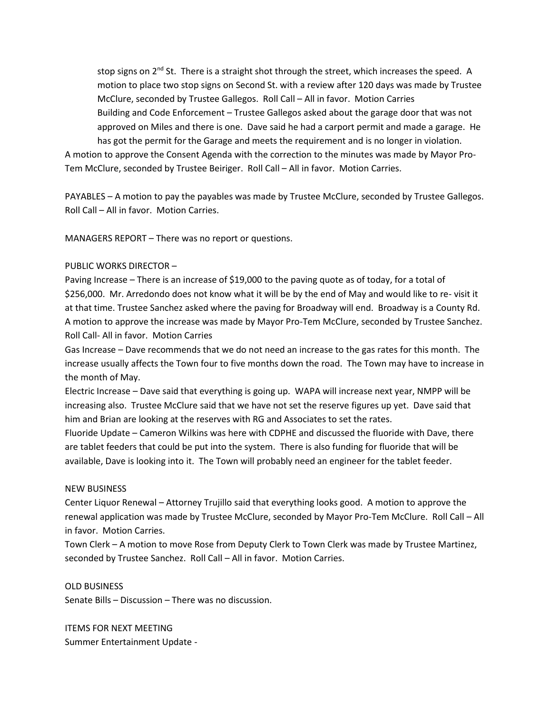stop signs on  $2^{nd}$  St. There is a straight shot through the street, which increases the speed. A motion to place two stop signs on Second St. with a review after 120 days was made by Trustee McClure, seconded by Trustee Gallegos. Roll Call – All in favor. Motion Carries Building and Code Enforcement – Trustee Gallegos asked about the garage door that was not approved on Miles and there is one. Dave said he had a carport permit and made a garage. He has got the permit for the Garage and meets the requirement and is no longer in violation.

A motion to approve the Consent Agenda with the correction to the minutes was made by Mayor Pro-Tem McClure, seconded by Trustee Beiriger. Roll Call – All in favor. Motion Carries.

PAYABLES – A motion to pay the payables was made by Trustee McClure, seconded by Trustee Gallegos. Roll Call – All in favor. Motion Carries.

MANAGERS REPORT – There was no report or questions.

#### PUBLIC WORKS DIRECTOR –

Paving Increase – There is an increase of \$19,000 to the paving quote as of today, for a total of \$256,000. Mr. Arredondo does not know what it will be by the end of May and would like to re- visit it at that time. Trustee Sanchez asked where the paving for Broadway will end. Broadway is a County Rd. A motion to approve the increase was made by Mayor Pro-Tem McClure, seconded by Trustee Sanchez. Roll Call- All in favor. Motion Carries

Gas Increase – Dave recommends that we do not need an increase to the gas rates for this month. The increase usually affects the Town four to five months down the road. The Town may have to increase in the month of May.

Electric Increase – Dave said that everything is going up. WAPA will increase next year, NMPP will be increasing also. Trustee McClure said that we have not set the reserve figures up yet. Dave said that him and Brian are looking at the reserves with RG and Associates to set the rates.

Fluoride Update – Cameron Wilkins was here with CDPHE and discussed the fluoride with Dave, there are tablet feeders that could be put into the system. There is also funding for fluoride that will be available, Dave is looking into it. The Town will probably need an engineer for the tablet feeder.

#### NEW BUSINESS

Center Liquor Renewal – Attorney Trujillo said that everything looks good. A motion to approve the renewal application was made by Trustee McClure, seconded by Mayor Pro-Tem McClure. Roll Call – All in favor. Motion Carries.

Town Clerk – A motion to move Rose from Deputy Clerk to Town Clerk was made by Trustee Martinez, seconded by Trustee Sanchez. Roll Call – All in favor. Motion Carries.

#### OLD BUSINESS

Senate Bills – Discussion – There was no discussion.

ITEMS FOR NEXT MEETING Summer Entertainment Update -